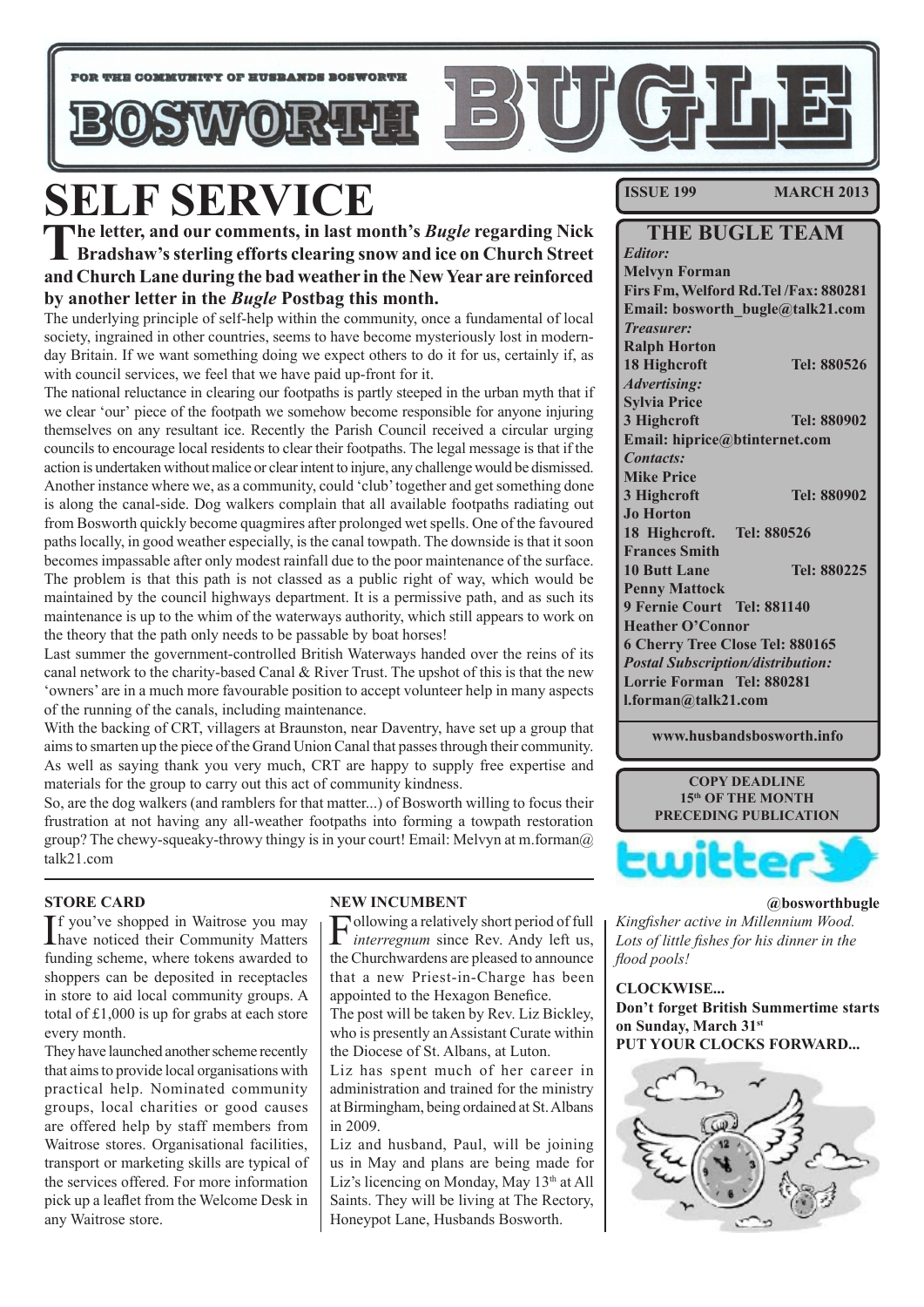

# **SELF SERVICE**<br>The letter, and our comments, in last month's *Bugle* regarding Nick

The letter, and our comments, in last month's *Bugle* regarding Nick Bradshaw's sterling efforts clearing snow and ice on Church Street **and Church Lane during the bad weather in the New Year are reinforced by another letter in the** *Bugle* **Postbag this month.**

The underlying principle of self-help within the community, once a fundamental of local society, ingrained in other countries, seems to have become mysteriously lost in modernday Britain. If we want something doing we expect others to do it for us, certainly if, as with council services, we feel that we have paid up-front for it.

The national reluctance in clearing our footpaths is partly steeped in the urban myth that if we clear 'our' piece of the footpath we somehow become responsible for anyone injuring themselves on any resultant ice. Recently the Parish Council received a circular urging councils to encourage local residents to clear their footpaths. The legal message is that if the action is undertaken without malice or clear intent to injure, any challenge would be dismissed. Another instance where we, as a community, could 'club' together and get something done is along the canal-side. Dog walkers complain that all available footpaths radiating out from Bosworth quickly become quagmires after prolonged wet spells. One of the favoured paths locally, in good weather especially, is the canal towpath. The downside is that it soon becomes impassable after only modest rainfall due to the poor maintenance of the surface. The problem is that this path is not classed as a public right of way, which would be maintained by the council highways department. It is a permissive path, and as such its maintenance is up to the whim of the waterways authority, which still appears to work on the theory that the path only needs to be passable by boat horses!

Last summer the government-controlled British Waterways handed over the reins of its canal network to the charity-based Canal & River Trust. The upshot of this is that the new 'owners' are in a much more favourable position to accept volunteer help in many aspects of the running of the canals, including maintenance.

With the backing of CRT, villagers at Braunston, near Daventry, have set up a group that aims to smarten up the piece of the Grand Union Canal that passes through their community. As well as saying thank you very much, CRT are happy to supply free expertise and materials for the group to carry out this act of community kindness.

So, are the dog walkers (and ramblers for that matter...) of Bosworth willing to focus their frustration at not having any all-weather footpaths into forming a towpath restoration group? The chewy-squeaky-throwy thingy is in your court! Email: Melvyn at m.forman $@$ talk21.com

#### **STORE CARD**

If you've shopped in Waitrose you may<br>have noticed their Community Matters Tf you've shopped in Waitrose you may funding scheme, where tokens awarded to shoppers can be deposited in receptacles in store to aid local community groups. A total of £1,000 is up for grabs at each store every month.

They have launched another scheme recently that aims to provide local organisations with practical help. Nominated community groups, local charities or good causes are offered help by staff members from Waitrose stores. Organisational facilities, transport or marketing skills are typical of the services offered. For more information pick up a leaflet from the Welcome Desk in any Waitrose store.

#### **NEW INCUMBENT**

 $\Gamma$ ollowing a relatively short period of full *interregnum* since Rev. Andy left us, *interregnum* since Rev. Andy left us, the Churchwardens are pleased to announce that a new Priest-in-Charge has been appointed to the Hexagon Benefice.

The post will be taken by Rev. Liz Bickley, who is presently an Assistant Curate within the Diocese of St. Albans, at Luton.

Liz has spent much of her career in administration and trained for the ministry at Birmingham, being ordained at St. Albans in 2009.

Liz and husband, Paul, will be joining us in May and plans are being made for Liz's licencing on Monday, May 13<sup>th</sup> at All Saints. They will be living at The Rectory, Honeypot Lane, Husbands Bosworth.

**ISSUE 199 MARCH 2013**

| <b>THE BUGLE TEAM</b>                    |                                     |  |
|------------------------------------------|-------------------------------------|--|
| <b>Editor:</b>                           |                                     |  |
| <b>Melvyn Forman</b>                     |                                     |  |
|                                          | Firs Fm, Welford Rd.Tel/Fax: 880281 |  |
| Email: bosworth_bugle@talk21.com         |                                     |  |
| <b>Treasurer:</b>                        |                                     |  |
| <b>Ralph Horton</b>                      |                                     |  |
| 18 Highcroft                             | Tel: 880526                         |  |
| <b>Advertising:</b>                      |                                     |  |
| <b>Sylvia Price</b>                      |                                     |  |
| 3 Highcroft                              | Tel: 880902                         |  |
| Email: hiprice@btinternet.com            |                                     |  |
| <b>Contacts:</b>                         |                                     |  |
| <b>Mike Price</b>                        |                                     |  |
| 3 Highcroft                              | Tel: 880902                         |  |
| <b>Jo Horton</b>                         |                                     |  |
| 18 Highcroft.                            | Tel: 880526                         |  |
| <b>Frances Smith</b>                     |                                     |  |
| <b>10 Butt Lane</b>                      | Tel: 880225                         |  |
| <b>Penny Mattock</b>                     |                                     |  |
| 9 Fernie Court Tel: 881140               |                                     |  |
| <b>Heather O'Connor</b>                  |                                     |  |
| 6 Cherry Tree Close Tel: 880165          |                                     |  |
| <b>Postal Subscription/distribution:</b> |                                     |  |
| Lorrie Forman Tel: 880281                |                                     |  |
| l.forman@talk21.com                      |                                     |  |
|                                          |                                     |  |

**www.husbandsbosworth.info** 



#### **@bosworthbugle**

*Kingfisher active in Millennium Wood. Lots of little fishes for his dinner in the flood pools!*

**CLOCKWISE... Don't forget British Summertime starts on Sunday, March 31st PUT YOUR CLOCKS FORWARD...**

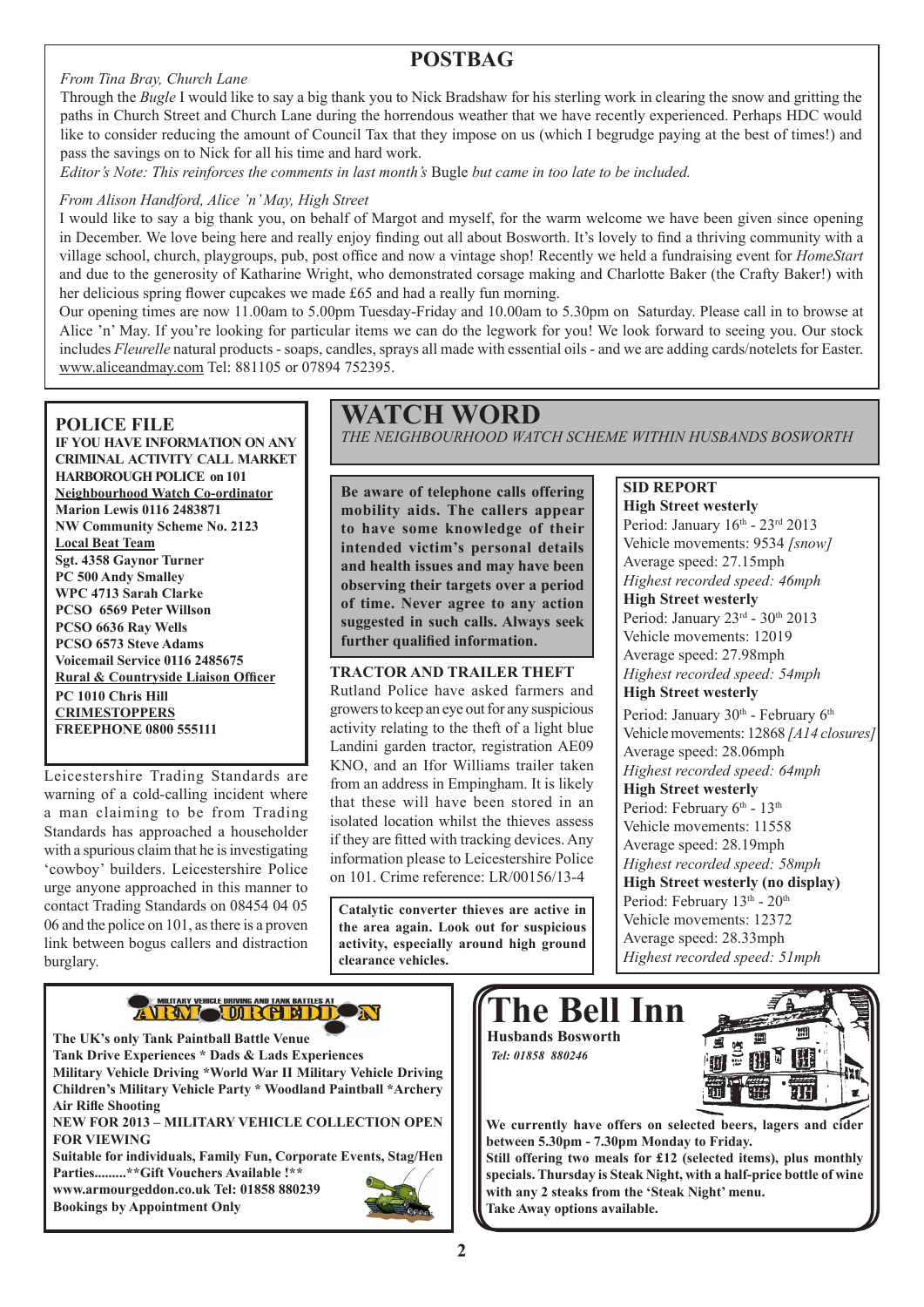#### *From Tina Bray, Church Lane*

### **POSTBAG**

Through the *Bugle* I would like to say a big thank you to Nick Bradshaw for his sterling work in clearing the snow and gritting the paths in Church Street and Church Lane during the horrendous weather that we have recently experienced. Perhaps HDC would like to consider reducing the amount of Council Tax that they impose on us (which I begrudge paying at the best of times!) and pass the savings on to Nick for all his time and hard work.

*Editor's Note: This reinforces the comments in last month's* Bugle *but came in too late to be included.*

#### *From Alison Handford, Alice 'n' May, High Street*

I would like to say a big thank you, on behalf of Margot and myself, for the warm welcome we have been given since opening in December. We love being here and really enjoy finding out all about Bosworth. It's lovely to find a thriving community with a village school, church, playgroups, pub, post office and now a vintage shop! Recently we held a fundraising event for *HomeStart* and due to the generosity of Katharine Wright, who demonstrated corsage making and Charlotte Baker (the Crafty Baker!) with her delicious spring flower cupcakes we made £65 and had a really fun morning.

Our opening times are now 11.00am to 5.00pm Tuesday-Friday and 10.00am to 5.30pm on Saturday. Please call in to browse at Alice 'n' May. If you're looking for particular items we can do the legwork for you! We look forward to seeing you. Our stock includes *Fleurelle* natural products - soaps, candles, sprays all made with essential oils - and we are adding cards/notelets for Easter. www.aliceandmay.com Tel: 881105 or 07894 752395.

#### **POLICE FILE**

**IF YOU HAVE INFORMATION ON ANY CRIMINAL ACTIVITY CALL MARKET HARBOROUGH POLICE on 101 Neighbourhood Watch Co-ordinator Marion Lewis 0116 2483871 NW Community Scheme No. 2123 Local Beat Team Sgt. 4358 Gaynor Turner PC 500 Andy Smalley WPC 4713 Sarah Clarke PCSO 6569 Peter Willson PCSO 6636 Ray Wells PCSO 6573 Steve Adams Voicemail Service 0116 2485675 Rural & Countryside Liaison Officer PC 1010 Chris Hill CRIMESTOPPERS FREEPHONE 0800 555111**

Leicestershire Trading Standards are warning of a cold-calling incident where a man claiming to be from Trading Standards has approached a householder with a spurious claim that he is investigating 'cowboy' builders. Leicestershire Police urge anyone approached in this manner to contact Trading Standards on 08454 04 05 06 and the police on 101, as there is a proven link between bogus callers and distraction burglary.

### **WATCH WORD**

*THE NEIGHBOURHOOD WATCH SCHEME WITHIN HUSBANDS BOSWORTH*

**Be aware of telephone calls offering mobility aids. The callers appear to have some knowledge of their intended victim's personal details and health issues and may have been observing their targets over a period of time. Never agree to any action suggested in such calls. Always seek further qualified information.**

#### **TRACTOR AND TRAILER THEFT**

Rutland Police have asked farmers and growers to keep an eye out for any suspicious activity relating to the theft of a light blue Landini garden tractor, registration AE09 KNO, and an Ifor Williams trailer taken from an address in Empingham. It is likely that these will have been stored in an isolated location whilst the thieves assess if they are fitted with tracking devices. Any information please to Leicestershire Police on 101. Crime reference: LR/00156/13-4

**Catalytic converter thieves are active in the area again. Look out for suspicious activity, especially around high ground clearance vehicles.**

### **SID REPORT**

**High Street westerly**  Period: January  $16^{th}$  -  $23^{rd}$   $2013$ Vehicle movements: 9534 *[snow]* Average speed: 27.15mph *Highest recorded speed: 46mph* **High Street westerly**  Period: January 23rd - 30th 2013 Vehicle movements: 12019 Average speed: 27.98mph *Highest recorded speed: 54mph* **High Street westerly** Period: January 30<sup>th</sup> - February 6<sup>th</sup> Vehicle movements: 12868 *[A14 closures]*

Average speed: 28.06mph *Highest recorded speed: 64mph* **High Street westerly** Period: February 6<sup>th</sup> - 13<sup>th</sup> Vehicle movements: 11558 Average speed: 28.19mph *Highest recorded speed: 58mph* **High Street westerly (no display)** Period: February 13<sup>th</sup> - 20<sup>th</sup> Vehicle movements: 12372 Average speed: 28.33mph *Highest recorded speed: 51mph*



**The UK's only Tank Paintball Battle Venue Tank Drive Experiences \* Dads & Lads Experiences Military Vehicle Driving \*World War II Military Vehicle Driving Children's Military Vehicle Party \* Woodland Paintball \*Archery Air Rifle Shooting NEW FOR 2013 – MILITARY VEHICLE COLLECTION OPEN FOR VIEWING Suitable for individuals, Family Fun, Corporate Events, Stag/Hen Parties.........\*\*Gift Vouchers Available !\*\***

**www.armourgeddon.co.uk Tel: 01858 880239 Bookings by Appointment Only**





**We currently have offers on selected beers, lagers and cider between 5.30pm - 7.30pm Monday to Friday. Still offering two meals for £12 (selected items), plus monthly specials. Thursday is Steak Night, with a half-price bottle of wine with any 2 steaks from the 'Steak Night' menu. Take Away options available.**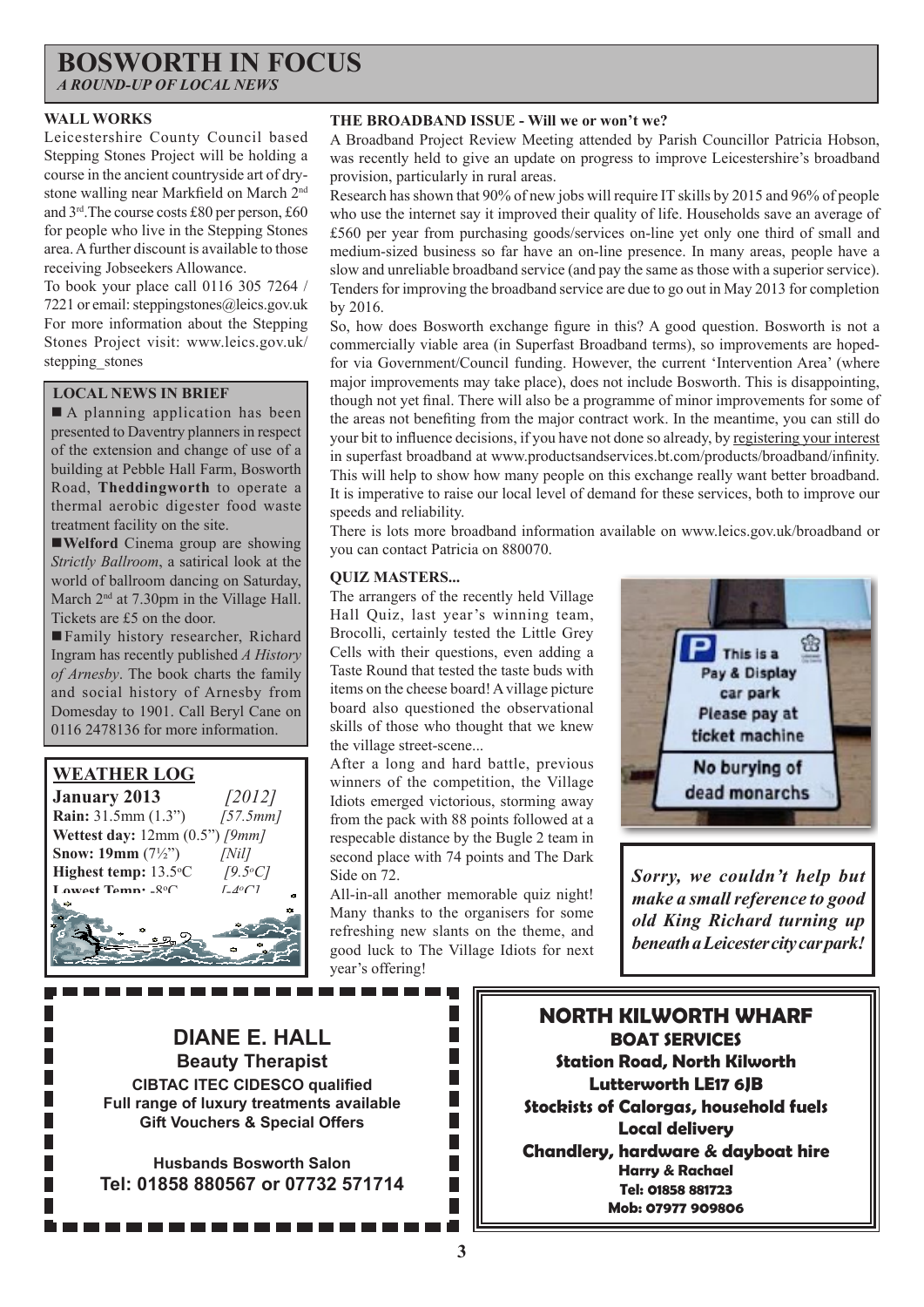#### **BOSWORTH IN FOCUS** *A ROUND-UP OF LOCAL NEWS*

**WALL WORKS**

Leicestershire County Council based Stepping Stones Project will be holding a course in the ancient countryside art of drystone walling near Markfield on March 2nd and 3rd.The course costs £80 per person, £60 for people who live in the Stepping Stones area. A further discount is available to those receiving Jobseekers Allowance.

To book your place call 0116 305 7264 / 7221 or email: steppingstones@leics.gov.uk For more information about the Stepping Stones Project visit: www.leics.gov.uk/ stepping stones

#### **LOCAL NEWS IN BRIEF**

A planning application has been presented to Daventry planners in respect of the extension and change of use of a building at Pebble Hall Farm, Bosworth Road, **Theddingworth** to operate a thermal aerobic digester food waste treatment facility on the site.

**Welford** Cinema group are showing *Strictly Ballroom*, a satirical look at the world of ballroom dancing on Saturday, March  $2<sup>nd</sup>$  at 7.30pm in the Village Hall. Tickets are £5 on the door.

Family history researcher, Richard Ingram has recently published *A History of Arnesby*. The book charts the family and social history of Arnesby from Domesday to 1901. Call Beryl Cane on 0116 2478136 for more information.

### **WEATHER LOG**

**January 2013** *[2012]* **Rain:** 31.5mm (1.3") *[57.5mm]* **Wettest day:** 12mm (0.5") *[9mm]* **Snow: 19mm** (7½") *[Nil]* **Highest temp:** 13.5<sup>o</sup>C C *[9.5o C]* Lowest Temp: -8<sup>o</sup>C C *[-4o C]*

**THE BROADBAND ISSUE - Will we or won't we?**

A Broadband Project Review Meeting attended by Parish Councillor Patricia Hobson, was recently held to give an update on progress to improve Leicestershire's broadband provision, particularly in rural areas.

Research has shown that 90% of new jobs will require IT skills by 2015 and 96% of people who use the internet say it improved their quality of life. Households save an average of £560 per year from purchasing goods/services on-line yet only one third of small and medium-sized business so far have an on-line presence. In many areas, people have a slow and unreliable broadband service (and pay the same as those with a superior service). Tenders for improving the broadband service are due to go out in May 2013 for completion by 2016.

So, how does Bosworth exchange figure in this? A good question. Bosworth is not a commercially viable area (in Superfast Broadband terms), so improvements are hopedfor via Government/Council funding. However, the current 'Intervention Area' (where major improvements may take place), does not include Bosworth. This is disappointing, though not yet final. There will also be a programme of minor improvements for some of the areas not benefiting from the major contract work. In the meantime, you can still do your bit to influence decisions, if you have not done so already, by registering your interest in superfast broadband at www.productsandservices.bt.com/products/broadband/infinity. This will help to show how many people on this exchange really want better broadband. It is imperative to raise our local level of demand for these services, both to improve our speeds and reliability.

There is lots more broadband information available on www.leics.gov.uk/broadband or you can contact Patricia on 880070.

#### **QUIZ MASTERS...**

. . . . . .

The arrangers of the recently held Village Hall Quiz, last year's winning team, Brocolli, certainly tested the Little Grey Cells with their questions, even adding a Taste Round that tested the taste buds with items on the cheese board! A village picture board also questioned the observational skills of those who thought that we knew the village street-scene...

After a long and hard battle, previous winners of the competition, the Village Idiots emerged victorious, storming away from the pack with 88 points followed at a respecable distance by the Bugle 2 team in second place with 74 points and The Dark Side on 72.

All-in-all another memorable quiz night! Many thanks to the organisers for some refreshing new slants on the theme, and good luck to The Village Idiots for next year's offering!

> П П П П П

> П П



*Sorry, we couldn't help but make a small reference to good old King Richard turning up beneath a Leicester city car park!*

**DIANE E. HALL Beauty Therapist CIBTAC ITEC CIDESCO qualified Full range of luxury treatments available Gift Vouchers & Special Offers**

**Husbands Bosworth Salon Tel: 01858 880567 or 07732 571714**

**NORTH KILWORTH WHARF BOAT SERVICES Station Road, North Kilworth Lutterworth LE17 6JB Stockists of Calorgas, household fuels Local delivery Chandlery, hardware & dayboat hire Harry & Rachael Tel: 01858 881723 Mob: 07977 909806**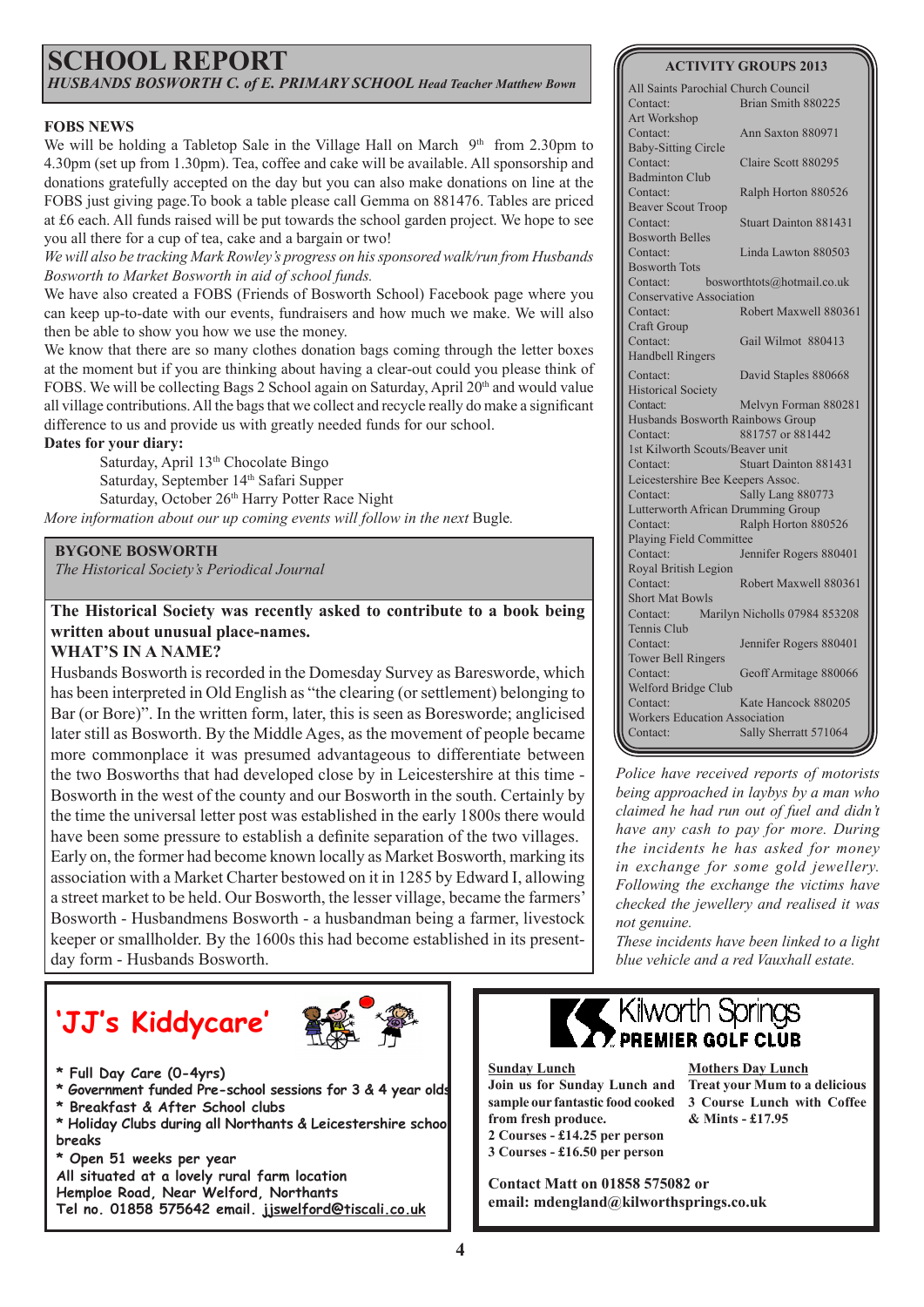### **SCHOOL REPORT** *HUSBANDS BOSWORTH C. of E. PRIMARY SCHOOL Head Teacher Matthew Bown*

#### **FOBS NEWS**

We will be holding a Tabletop Sale in the Village Hall on March 9<sup>th</sup> from 2.30pm to 4.30pm (set up from 1.30pm). Tea, coffee and cake will be available. All sponsorship and donations gratefully accepted on the day but you can also make donations on line at the FOBS just giving page.To book a table please call Gemma on 881476. Tables are priced at £6 each. All funds raised will be put towards the school garden project. We hope to see you all there for a cup of tea, cake and a bargain or two!

*We will also be tracking Mark Rowley's progress on his sponsored walk/run from Husbands Bosworth to Market Bosworth in aid of school funds.* 

We have also created a FOBS (Friends of Bosworth School) Facebook page where you can keep up-to-date with our events, fundraisers and how much we make. We will also then be able to show you how we use the money.

We know that there are so many clothes donation bags coming through the letter boxes at the moment but if you are thinking about having a clear-out could you please think of FOBS. We will be collecting Bags 2 School again on Saturday, April  $20<sup>th</sup>$  and would value all village contributions. All the bags that we collect and recycle really do make a significant difference to us and provide us with greatly needed funds for our school.

#### **Dates for your diary:**

Saturday, April 13<sup>th</sup> Chocolate Bingo Saturday, September 14<sup>th</sup> Safari Supper Saturday, October 26<sup>th</sup> Harry Potter Race Night *More information about our up coming events will follow in the next Bugle.* 

#### **BYGONE BOSWORTH**

*The Historical Society's Periodical Journal*

#### **The Historical Society was recently asked to contribute to a book being written about unusual place-names.**

#### **WHAT'S IN A NAME?**

Husbands Bosworth is recorded in the Domesday Survey as Baresworde, which has been interpreted in Old English as "the clearing (or settlement) belonging to Bar (or Bore)". In the written form, later, this is seen as Boresworde; anglicised later still as Bosworth. By the Middle Ages, as the movement of people became more commonplace it was presumed advantageous to differentiate between the two Bosworths that had developed close by in Leicestershire at this time - Bosworth in the west of the county and our Bosworth in the south. Certainly by the time the universal letter post was established in the early 1800s there would have been some pressure to establish a definite separation of the two villages. Early on, the former had become known locally as Market Bosworth, marking its association with a Market Charter bestowed on it in 1285 by Edward I, allowing a street market to be held. Our Bosworth, the lesser village, became the farmers' Bosworth - Husbandmens Bosworth - a husbandman being a farmer, livestock keeper or smallholder. By the 1600s this had become established in its presentday form - Husbands Bosworth.

## **'JJ's Kiddycare'**



- **\* Full Day Care (0-4yrs)**
- **\* Government funded Pre-school sessions for 3 & 4 year olds**
- **\* Breakfast & After School clubs**
- **\* Holiday Clubs during all Northants & Leicestershire school breaks**

**\* Open 51 weeks per year**

- **All situated at a lovely rural farm location**
- **Hemploe Road, Near Welford, Northants Tel no. 01858 575642 email. jjswelford@tiscali.co.uk**

#### **ACTIVITY GROUPS 2013**

| All Saints Parochial Church Council  |                               |  |
|--------------------------------------|-------------------------------|--|
| Contact:                             | Brian Smith 880225            |  |
| Art Workshop                         |                               |  |
| Contact:                             | Ann Saxton 880971             |  |
| <b>Baby-Sitting Circle</b>           |                               |  |
| Contact:                             | Claire Scott 880295           |  |
| <b>Badminton Club</b>                |                               |  |
| Contact:                             | Ralph Horton 880526           |  |
| <b>Beaver Scout Troop</b>            |                               |  |
| Contact:                             | <b>Stuart Dainton 881431</b>  |  |
| <b>Bosworth Belles</b>               |                               |  |
| Contact:                             | Linda Lawton 880503           |  |
| <b>Bosworth Tots</b>                 |                               |  |
| Contact:                             | bosworthtots@hotmail.co.uk    |  |
| <b>Conservative Association</b>      |                               |  |
| Contact:                             | Robert Maxwell 880361         |  |
| Craft Group                          |                               |  |
| Contact:                             | Gail Wilmot 880413            |  |
| <b>Handbell Ringers</b>              |                               |  |
| Contact:                             | David Staples 880668          |  |
| <b>Historical Society</b>            |                               |  |
| Contact:                             | Melvyn Forman 880281          |  |
| Husbands Bosworth Rainbows Group     |                               |  |
| Contact:                             | 881757 or 881442              |  |
| 1st Kilworth Scouts/Beaver unit      |                               |  |
| Contact:                             | <b>Stuart Dainton 881431</b>  |  |
| Leicestershire Bee Keepers Assoc.    |                               |  |
| Contact:                             | Sally Lang 880773             |  |
| Lutterworth African Drumming Group   |                               |  |
| Contact:                             | Ralph Horton 880526           |  |
| Playing Field Committee              |                               |  |
| Contact:                             | Jennifer Rogers 880401        |  |
| Royal British Legion                 |                               |  |
| Contact:                             | Robert Maxwell 880361         |  |
| <b>Short Mat Bowls</b>               |                               |  |
| Contact:                             | Marilyn Nicholls 07984 853208 |  |
| Tennis Club                          |                               |  |
| Contact:                             | Jennifer Rogers 880401        |  |
| <b>Tower Bell Ringers</b>            |                               |  |
| Contact:                             | Geoff Armitage 880066         |  |
| Welford Bridge Club                  |                               |  |
| Contact:                             | Kate Hancock 880205           |  |
| <b>Workers Education Association</b> |                               |  |
| Contact:                             | Sally Sherratt 571064         |  |

*Police have received reports of motorists being approached in laybys by a man who claimed he had run out of fuel and didn't have any cash to pay for more. During the incidents he has asked for money in exchange for some gold jewellery. Following the exchange the victims have checked the jewellery and realised it was not genuine.*

*These incidents have been linked to a light blue vehicle and a red Vauxhall estate.*

### Kilworth Springs PREMIER GOLF CLUB

#### **Sunday Lunch Join us for Sunday Lunch and Treat your Mum to a delicious sample our fantastic food cooked 3 Course Lunch with Coffee from fresh produce. 2 Courses - £14.25 per person 3 Courses - £16.50 per person**

**Mothers Day Lunch & Mints - £17.95**

**Contact Matt on 01858 575082 or email: mdengland@kilworthsprings.co.uk**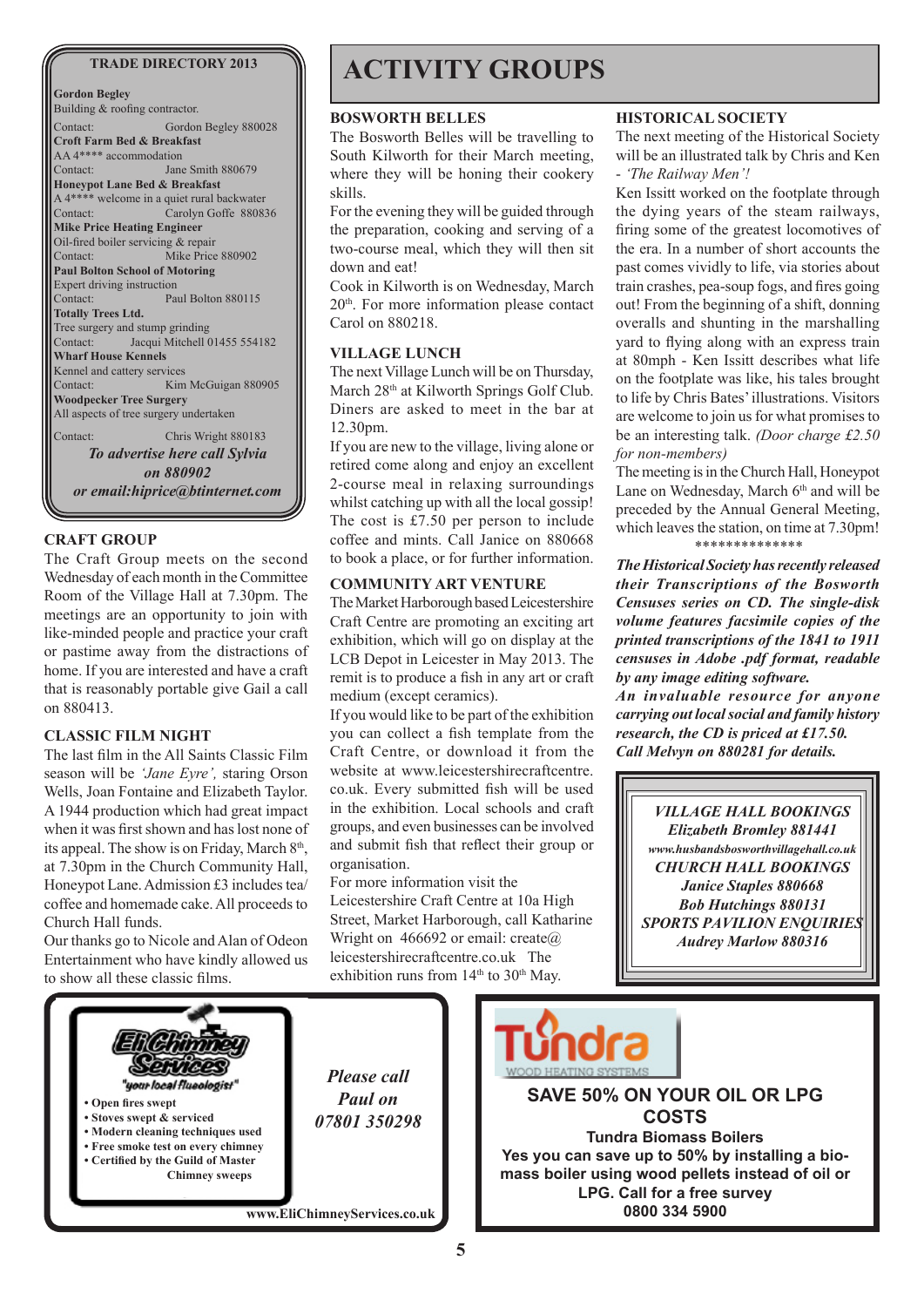**Gordon Begley** Building & roofing contractor. Contact: Gordon Begley 880028 **Croft Farm Bed & Breakfast** AA 4\*\*\*\* accommodation Contact: Jane Smith 880679 **Honeypot Lane Bed & Breakfast** A 4\*\*\*\* welcome in a quiet rural backwater Contact: Carolyn Goffe 880836 **Mike Price Heating Engineer**  Oil-fired boiler servicing & repair Contact: Mike Price 880902 **Paul Bolton School of Motoring** Expert driving instruction Contact: Paul Bolton 880115 **Totally Trees Ltd.** Tree surgery and stump grinding Contact: Jacqui Mitchell 01455 554182 **Wharf House Kennels** Kennel and cattery services Contact: Kim McGuigan 880905 **Woodpecker Tree Surgery** All aspects of tree surgery undertaken Contact: Chris Wright 880183 *To advertise here call Sylvia on 880902*

*or email:hiprice@btinternet.com*

#### **CRAFT GROUP**

The Craft Group meets on the second Wednesday of each month in the Committee Room of the Village Hall at 7.30pm. The meetings are an opportunity to join with like-minded people and practice your craft or pastime away from the distractions of home. If you are interested and have a craft that is reasonably portable give Gail a call on 880413.

#### **CLASSIC FILM NIGHT**

The last film in the All Saints Classic Film season will be *'Jane Eyre',* staring Orson Wells, Joan Fontaine and Elizabeth Taylor. A 1944 production which had great impact when it was first shown and has lost none of its appeal. The show is on Friday, March  $8<sup>th</sup>$ , at 7.30pm in the Church Community Hall, Honeypot Lane. Admission £3 includes tea/ coffee and homemade cake. All proceeds to Church Hall funds.

Our thanks go to Nicole and Alan of Odeon Entertainment who have kindly allowed us to show all these classic films.

### TRADE DIRECTORY 2013 **ACTIVITY GROUPS**

#### **BOSWORTH BELLES**

The Bosworth Belles will be travelling to South Kilworth for their March meeting, where they will be honing their cookery skills.

For the evening they will be guided through the preparation, cooking and serving of a two-course meal, which they will then sit down and eat!

Cook in Kilworth is on Wednesday, March 20th. For more information please contact Carol on 880218.

#### **VILLAGE LUNCH**

The next Village Lunch will be on Thursday, March 28<sup>th</sup> at Kilworth Springs Golf Club. Diners are asked to meet in the bar at 12.30pm.

If you are new to the village, living alone or retired come along and enjoy an excellent 2-course meal in relaxing surroundings whilst catching up with all the local gossip! The cost is £7.50 per person to include coffee and mints. Call Janice on 880668 to book a place, or for further information.

#### **COMMUNITY ART VENTURE**

The Market Harborough based Leicestershire Craft Centre are promoting an exciting art exhibition, which will go on display at the LCB Depot in Leicester in May 2013. The remit is to produce a fish in any art or craft medium (except ceramics).

If you would like to be part of the exhibition you can collect a fish template from the Craft Centre, or download it from the website at www.leicestershirecraftcentre. co.uk. Every submitted fish will be used in the exhibition. Local schools and craft groups, and even businesses can be involved and submit fish that reflect their group or organisation.

For more information visit the Leicestershire Craft Centre at 10a High Street, Market Harborough, call Katharine Wright on 466692 or email: create@ leicestershirecraftcentre.co.uk The exhibition runs from  $14<sup>th</sup>$  to  $30<sup>th</sup>$  May.

#### **HISTORICAL SOCIETY**

The next meeting of the Historical Society will be an illustrated talk by Chris and Ken - *'The Railway Men'!*

Ken Issitt worked on the footplate through the dying years of the steam railways, firing some of the greatest locomotives of the era. In a number of short accounts the past comes vividly to life, via stories about train crashes, pea-soup fogs, and fires going out! From the beginning of a shift, donning overalls and shunting in the marshalling yard to flying along with an express train at 80mph - Ken Issitt describes what life on the footplate was like, his tales brought to life by Chris Bates' illustrations. Visitors are welcome to join us for what promises to be an interesting talk. *(Door charge £2.50 for non-members)* 

The meeting is in the Church Hall, Honeypot Lane on Wednesday, March 6<sup>th</sup> and will be preceded by the Annual General Meeting, which leaves the station, on time at 7.30pm! *\*\*\*\*\*\*\*\*\*\*\*\*\*\**

*The Historical Society has recently released their Transcriptions of the Bosworth Censuses series on CD. The single-disk volume features facsimile copies of the printed transcriptions of the 1841 to 1911 censuses in Adobe .pdf format, readable by any image editing software. An invaluable resource for anyone carrying out local social and family history research, the CD is priced at £17.50. Call Melvyn on 880281 for details.*

*VILLAGE HALL BOOKINGS Elizabeth Bromley 881441 www.husbandsbosworthvillagehall.co.uk CHURCH HALL BOOKINGS Janice Staples 880668 Bob Hutchings 880131 SPORTS PAVILION ENQUIRIES Audrey Marlow 880316* 

**COSTS**

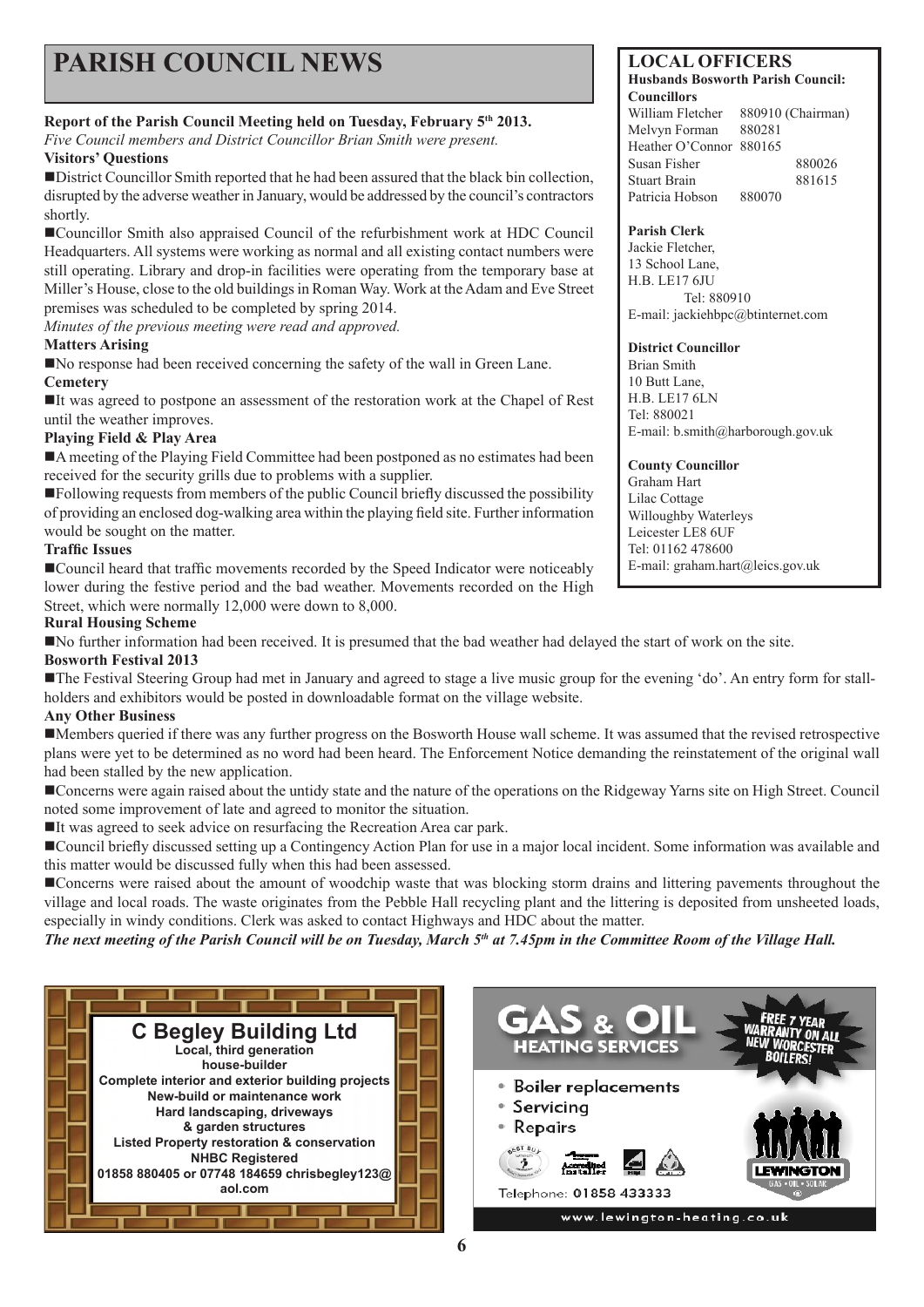# **PARISH COUNCIL NEWS** LOCAL OFFICERS

#### **Report of the Parish Council Meeting held on Tuesday, February 5th 2013.**

*Five Council members and District Councillor Brian Smith were present.* 

#### **Visitors' Questions**

District Councillor Smith reported that he had been assured that the black bin collection, disrupted by the adverse weather in January, would be addressed by the council's contractors shortly.

Councillor Smith also appraised Council of the refurbishment work at HDC Council Headquarters. All systems were working as normal and all existing contact numbers were still operating. Library and drop-in facilities were operating from the temporary base at Miller's House, close to the old buildings in Roman Way. Work at the Adam and Eve Street premises was scheduled to be completed by spring 2014.

*Minutes of the previous meeting were read and approved.*

#### **Matters Arising**

No response had been received concerning the safety of the wall in Green Lane. **Cemetery**

It was agreed to postpone an assessment of the restoration work at the Chapel of Rest until the weather improves.

#### **Playing Field & Play Area**

A meeting of the Playing Field Committee had been postponed as no estimates had been received for the security grills due to problems with a supplier.

Following requests from members of the public Council briefly discussed the possibility of providing an enclosed dog-walking area within the playing field site. Further information would be sought on the matter.

#### **Traffic Issues**

■Council heard that traffic movements recorded by the Speed Indicator were noticeably lower during the festive period and the bad weather. Movements recorded on the High Street, which were normally 12,000 were down to 8,000.

#### **Rural Housing Scheme**

No further information had been received. It is presumed that the bad weather had delayed the start of work on the site.

#### **Bosworth Festival 2013**

The Festival Steering Group had met in January and agreed to stage a live music group for the evening 'do'. An entry form for stallholders and exhibitors would be posted in downloadable format on the village website.

#### **Any Other Business**

Members queried if there was any further progress on the Bosworth House wall scheme. It was assumed that the revised retrospective plans were yet to be determined as no word had been heard. The Enforcement Notice demanding the reinstatement of the original wall had been stalled by the new application.

Concerns were again raised about the untidy state and the nature of the operations on the Ridgeway Yarns site on High Street. Council noted some improvement of late and agreed to monitor the situation.

It was agreed to seek advice on resurfacing the Recreation Area car park.

Council briefly discussed setting up a Contingency Action Plan for use in a major local incident. Some information was available and this matter would be discussed fully when this had been assessed.

Concerns were raised about the amount of woodchip waste that was blocking storm drains and littering pavements throughout the village and local roads. The waste originates from the Pebble Hall recycling plant and the littering is deposited from unsheeted loads, especially in windy conditions. Clerk was asked to contact Highways and HDC about the matter.

*The next meeting of the Parish Council will be on Tuesday, March 5th at 7.45pm in the Committee Room of the Village Hall.*





**Husbands Bosworth Parish Council: Councillors**  William Fletcher 880910 (Chairman) Melvyn Forman 880281 Heather O'Connor 880165 Susan Fisher 880026 Stuart Brain 881615 Patricia Hobson 880070

#### **Parish Clerk**

Jackie Fletcher, 13 School Lane, H.B. LE17 6JU Tel: 880910 E-mail: jackiehbpc@btinternet.com

#### **District Councillor**

Brian Smith 10 Butt Lane, H.B. LE17 6LN Tel: 880021 E-mail: b.smith@harborough.gov.uk

#### **County Councillor**

Graham Hart Lilac Cottage Willoughby Waterleys Leicester LE8 6UF Tel: 01162 478600 E-mail: graham.hart@leics.gov.uk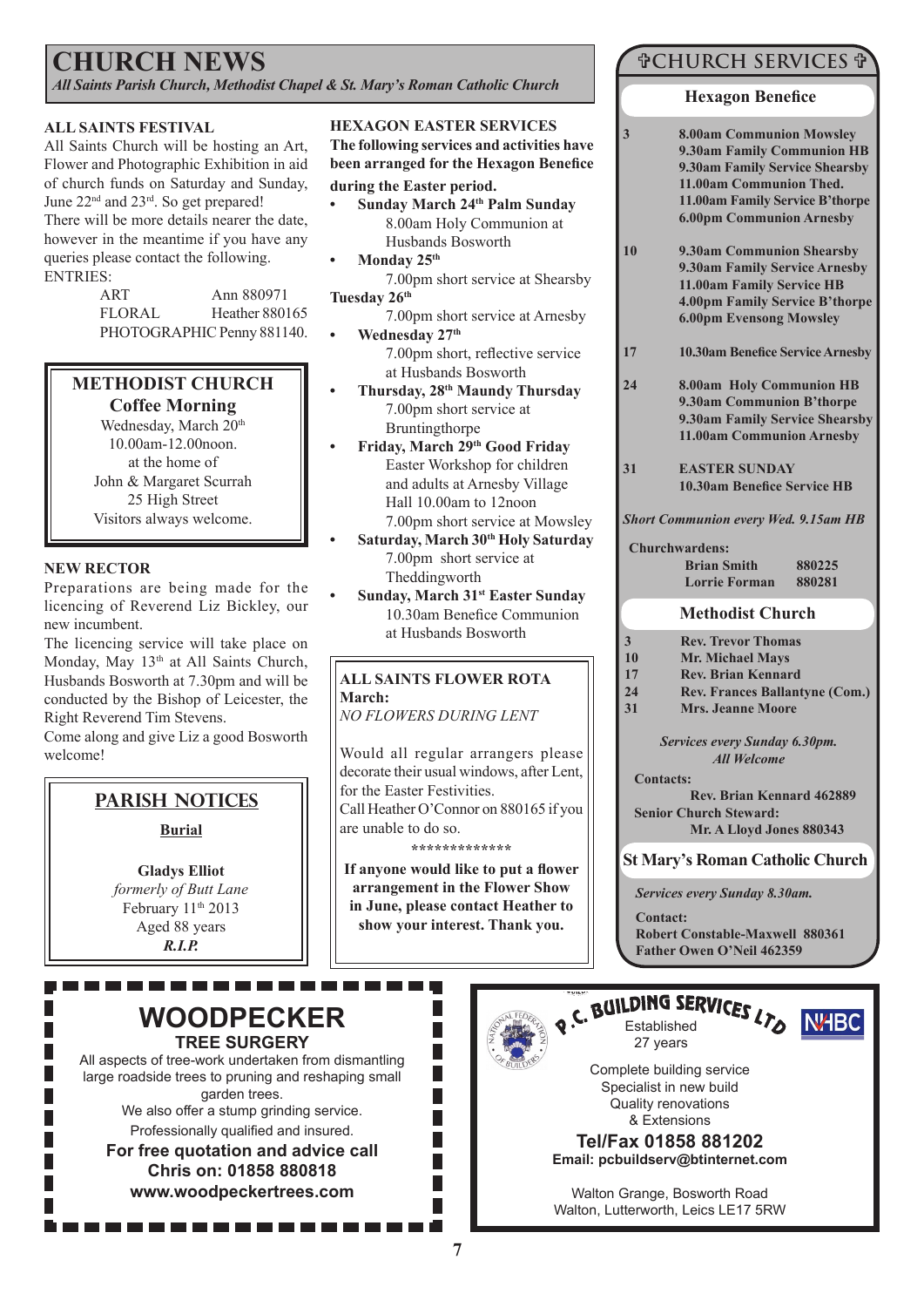### **CHURCH NEWS**

*All Saints Parish Church, Methodist Chapel & St. Mary's Roman Catholic Church*

#### **ALL SAINTS FESTIVAL**

All Saints Church will be hosting an Art, Flower and Photographic Exhibition in aid of church funds on Saturday and Sunday, June 22<sup>nd</sup> and 23<sup>rd</sup>. So get prepared! There will be more details nearer the date, however in the meantime if you have any queries please contact the following. ENTRIES:

| ART                        | Ann 880971            |  |
|----------------------------|-----------------------|--|
| <b>FLORAL</b>              | <b>Heather 880165</b> |  |
| PHOTOGRAPHIC Penny 881140. |                       |  |

### **METHODIST CHURCH**

**Coffee Morning** Wednesday, March 20<sup>th</sup> 10.00am-12.00noon. at the home of John & Margaret Scurrah 25 High Street Visitors always welcome.

#### **NEW RECTOR**

Preparations are being made for the licencing of Reverend Liz Bickley, our new incumbent.

The licencing service will take place on Monday, May 13<sup>th</sup> at All Saints Church, Husbands Bosworth at 7.30pm and will be conducted by the Bishop of Leicester, the Right Reverend Tim Stevens.

Come along and give Liz a good Bosworth welcome!

### **Parish Notices**

#### **Burial**

**Gladys Elliot** *formerly of Butt Lane* February 11<sup>th</sup> 2013 Aged 88 years *R.I.P.*

#### **HEXAGON EASTER SERVICES**

**The following services and activities have been arranged for the Hexagon Benefice during the Easter period.**

- **• Sunday March 24th Palm Sunday** 8.00am Holy Communion at Husbands Bosworth
- **• Monday 25th**

7.00pm short service at Shearsby **Tuesday 26th**

- 7.00pm short service at Arnesby **• Wednesday 27th** 7.00pm short, reflective service
- at Husbands Bosworth **• Thursday, 28th Maundy Thursday** 7.00pm short service at Bruntingthorpe
- **• Friday, March 29th Good Friday** Easter Workshop for children and adults at Arnesby Village Hall 10.00am to 12noon 7.00pm short service at Mowsley
- **• Saturday, March 30th Holy Saturday**  7.00pm short service at Theddingworth
- **• Sunday, March 31st Easter Sunday** 10.30am Benefice Communion at Husbands Bosworth

#### **ALL SAINTS FLOWER ROTA March:**

*NO FLOWERS DURING LENT* 

Would all regular arrangers please decorate their usual windows, after Lent, for the Easter Festivities. Call Heather O'Connor on 880165 if you are unable to do so.

**\*\*\*\*\*\*\*\*\*\*\*\*\***

**If anyone would like to put a flower arrangement in the Flower Show in June, please contact Heather to show your interest. Thank you.**

> П П П П

### **CHURCH SERVICES**

#### **Hexagon Benefice**

- **3 8.00am Communion Mowsley 9.30am Family Communion HB 9.30am Family Service Shearsby 11.00am Communion Thed. 11.00am Family Service B'thorpe 6.00pm Communion Arnesby**
- **10 9.30am Communion Shearsby 9.30am Family Service Arnesby 11.00am Family Service HB 4.00pm Family Service B'thorpe 6.00pm Evensong Mowsley**
- **17 10.30am Benefice Service Arnesby**
- **24 8.00am Holy Communion HB 9.30am Communion B'thorpe 9.30am Family Service Shearsby 11.00am Communion Arnesby**
- **31 EASTER SUNDAY 10.30am Benefice Service HB**
- *Short Communion every Wed. 9.15am HB*

#### **Churchwardens:**

| <b>Brian Smith</b> | 880225 |
|--------------------|--------|
| Lorrie Forman      | 880281 |

#### **Methodist Church**

| 3  | <b>Rev. Trevor Thomas</b> |
|----|---------------------------|
| 10 | <b>Mr. Michael Mays</b>   |
| 17 | <b>Rev. Brian Kennard</b> |

- **24 Rev. Frances Ballantyne (Com.)**
- **31 Mrs. Jeanne Moore**

*Services every Sunday 6.30pm. All Welcome*

#### **Contacts:**

**Rev. Brian Kennard 462889 Senior Church Steward: Mr. A Lloyd Jones 880343**

**St Mary's Roman Catholic Church**

*Services every Sunday 8.30am.*

**Contact: Robert Constable-Maxwell 880361 Father Owen O'Neil 462359**

### **WOODPECKER TREE SURGERY**

. . . . . . . . . . . . .

All aspects of tree-work undertaken from dismantling large roadside trees to pruning and reshaping small garden trees.

> We also offer a stump grinding service. Professionally qualified and insured.

**For free quotation and advice call Chris on: 01858 880818 www.woodpeckertrees.com**



### Q.C. BUILDING SERVICES LTO NHBC 27 years



Complete building service Specialist in new build Quality renovations & Extensions

**Tel/Fax 01858 881202 Email: pcbuildserv@btinternet.com**

Walton Grange, Bosworth Road Walton, Lutterworth, Leics LE17 5RW